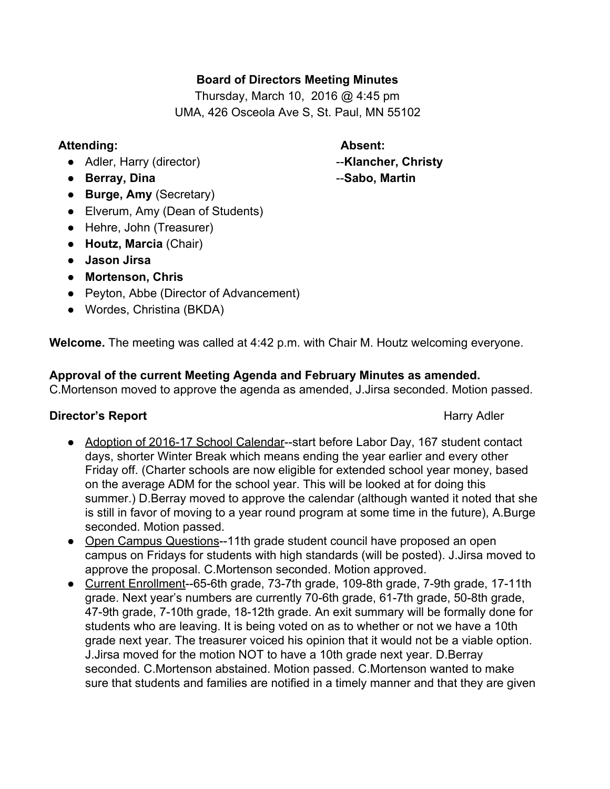### **Board of Directors Meeting Minutes**

Thursday, March 10, 2016 @ 4:45 pm UMA, 426 Osceola Ave S, St. Paul, MN 55102

#### **Attending: Absent:**

- Adler, Harry (director) **Klancher, Christy**
- **Berray, Dina Sabo, Martin**
- **Burge, Amy**(Secretary)
- Elverum, Amy (Dean of Students)
- Hehre, John (Treasurer)
- **Houtz, Marcia**(Chair)
- **● Jason Jirsa**
- **● Mortenson, Chris**
- Peyton, Abbe (Director of Advancement)
- **●** Wordes, Christina (BKDA)

**Welcome.**The meeting was called at 4:42 p.m. with Chair M. Houtz welcoming everyone.

### **Approval of the current Meeting Agenda and February Minutes as amended.**

C.Mortenson moved to approve the agenda as amended, J.Jirsa seconded. Motion passed.

### **Director's Report Harry Adler Harry Adler Harry Adler**

- Adoption of 2016-17 School Calendar--start before Labor Day, 167 student contact days, shorter Winter Break which means ending the year earlier and every other Friday off. (Charter schools are now eligible for extended school year money, based on the average ADM for the school year. This will be looked at for doing this summer.) D.Berray moved to approve the calendar (although wanted it noted that she is still in favor of moving to a year round program at some time in the future), A.Burge seconded. Motion passed.
- Open Campus Questions--11th grade student council have proposed an open campus on Fridays for students with high standards (will be posted). J.Jirsa moved to approve the proposal. C.Mortenson seconded. Motion approved.
- Current Enrollment--65-6th grade, 73-7th grade, 109-8th grade, 7-9th grade, 17-11th grade. Next year's numbers are currently 70-6th grade, 61-7th grade, 50-8th grade, 47-9th grade, 7-10th grade, 18-12th grade. An exit summary will be formally done for students who are leaving. It is being voted on as to whether or not we have a 10th grade next year. The treasurer voiced his opinion that it would not be a viable option. J.Jirsa moved for the motion NOT to have a 10th grade next year. D.Berray seconded. C.Mortenson abstained. Motion passed. C.Mortenson wanted to make sure that students and families are notified in a timely manner and that they are given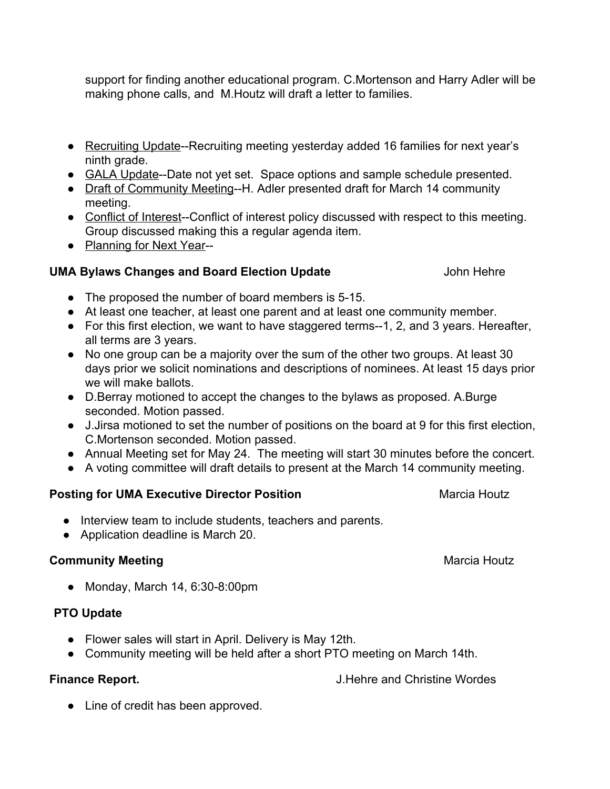support for finding another educational program. C.Mortenson and Harry Adler will be making phone calls, and M.Houtz will draft a letter to families.

- Recruiting Update--Recruiting meeting yesterday added 16 families for next year's ninth grade.
- GALA Update--Date not yet set. Space options and sample schedule presented.
- Draft of Community Meeting--H. Adler presented draft for March 14 community meeting.
- Conflict of Interest--Conflict of interest policy discussed with respect to this meeting. Group discussed making this a regular agenda item.
- Planning for Next Year--

### **UMA Bylaws Changes and Board Election Update** John Hehre

- The proposed the number of board members is 5-15.
- At least one teacher, at least one parent and at least one community member.
- For this first election, we want to have staggered terms--1, 2, and 3 years. Hereafter, all terms are 3 years.
- No one group can be a majority over the sum of the other two groups. At least 30 days prior we solicit nominations and descriptions of nominees. At least 15 days prior we will make ballots.
- D.Berray motioned to accept the changes to the bylaws as proposed. A.Burge seconded. Motion passed.
- J.Jirsa motioned to set the number of positions on the board at 9 for this first election, C.Mortenson seconded. Motion passed.
- Annual Meeting set for May 24. The meeting will start 30 minutes before the concert.
- A voting committee will draft details to present at the March 14 community meeting.

## **Posting for UMA Executive Director Position** Marcia Houtz

- Interview team to include students, teachers and parents.
- Application deadline is March 20.

## **Community Meeting** Marcia Houtz **Community** Marcia Houtz

 $\bullet$  Monday, March 14, 6:30-8:00pm

## **PTO Update**

- Flower sales will start in April. Delivery is May 12th.
- Community meeting will be held after a short PTO meeting on March 14th.

**Finance Report.** J.Hehre and Christine Wordes

• Line of credit has been approved.